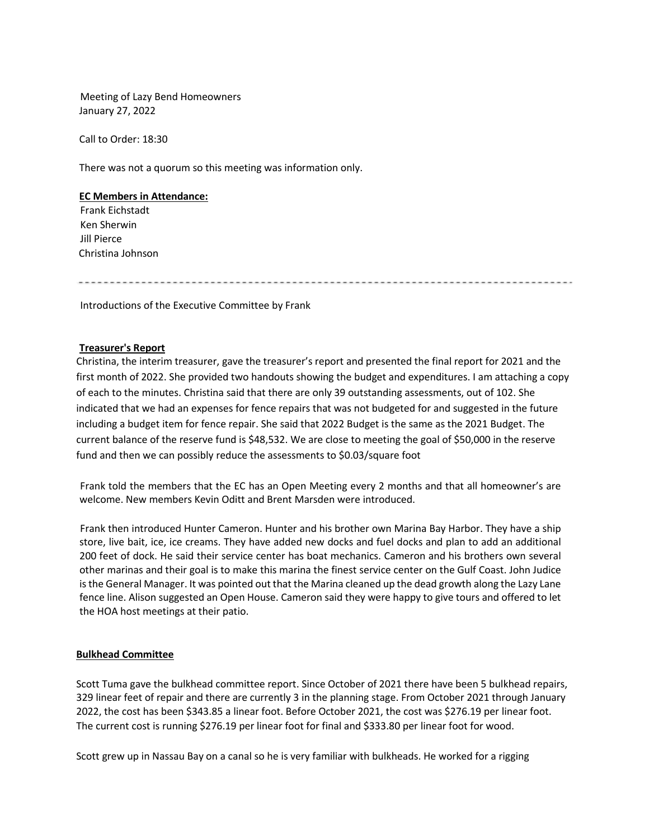Meeting of Lazy Bend Homeowners January 27, 2022

Call to Order: 18:30

There was not a quorum so this meeting was information only.

#### **EC Members in Attendance:**

Frank Eichstadt Ken Sherwin Jill Pierce Christina Johnson

Introductions of the Executive Committee by Frank

### **Treasurer's Report**

Christina, the interim treasurer, gave the treasurer's report and presented the final report for 2021 and the first month of 2022. She provided two handouts showing the budget and expenditures. I am attaching a copy of each to the minutes. Christina said that there are only 39 outstanding assessments, out of 102. She indicated that we had an expenses for fence repairs that was not budgeted for and suggested in the future including a budget item for fence repair. She said that 2022 Budget is the same as the 2021 Budget. The current balance of the reserve fund is \$48,532. We are close to meeting the goal of \$50,000 in the reserve fund and then we can possibly reduce the assessments to \$0.03/square foot

Frank told the members that the EC has an Open Meeting every 2 months and that all homeowner's are welcome. New members Kevin Oditt and Brent Marsden were introduced.

Frank then introduced Hunter Cameron. Hunter and his brother own Marina Bay Harbor. They have a ship store, live bait, ice, ice creams. They have added new docks and fuel docks and plan to add an additional 200 feet of dock. He said their service center has boat mechanics. Cameron and his brothers own several other marinas and their goal is to make this marina the finest service center on the Gulf Coast. John Judice is the General Manager. It was pointed out that the Marina cleaned up the dead growth along the Lazy Lane fence line. Alison suggested an Open House. Cameron said they were happy to give tours and offered to let the HOA host meetings at their patio.

#### **Bulkhead Committee**

Scott Tuma gave the bulkhead committee report. Since October of 2021 there have been 5 bulkhead repairs, 329 linear feet of repair and there are currently 3 in the planning stage. From October 2021 through January 2022, the cost has been \$343.85 a linear foot. Before October 2021, the cost was \$276.19 per linear foot. The current cost is running \$276.19 per linear foot for final and \$333.80 per linear foot for wood.

Scott grew up in Nassau Bay on a canal so he is very familiar with bulkheads. He worked for a rigging